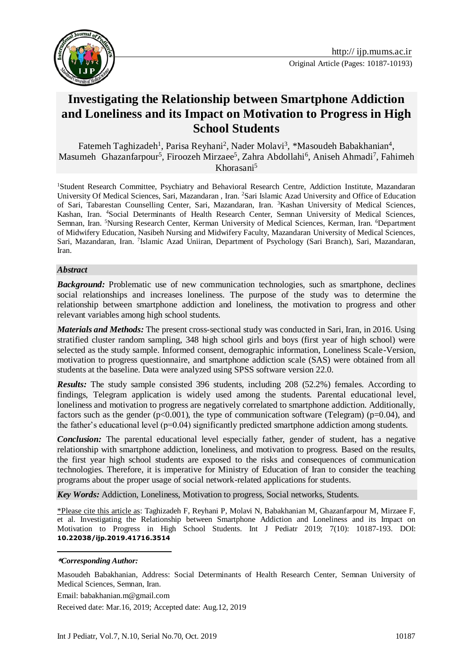

# **Investigating the Relationship between Smartphone Addiction and Loneliness and its Impact on Motivation to Progress in High School Students**

Fatemeh Taghizadeh<sup>1</sup>, Parisa Reyhani<sup>2</sup>, Nader Molavi<sup>3</sup>, \*Masoudeh Babakhanian<sup>4</sup>, Masumeh Ghazanfarpour<sup>5</sup>, Firoozeh Mirzaee<sup>5</sup>, Zahra Abdollahi<sup>6</sup>, Aniseh Ahmadi<sup>7</sup>, Fahimeh Khorasani<sup>5</sup>

<sup>1</sup>Student Research Committee, Psychiatry and Behavioral Research Centre, Addiction Institute, Mazandaran University Of Medical Sciences, Sari, Mazandaran , Iran. <sup>2</sup>Sari Islamic Azad University and Office of Education of Sari, Tabarestan Counselling Center, Sari, Mazandaran, Iran. <sup>3</sup>Kashan University of Medical Sciences, Kashan, Iran. <sup>4</sup>Social Determinants of Health Research Center, Semnan University of Medical Sciences, Semnan, Iran. <sup>5</sup>Nursing Research Center, Kerman University of Medical Sciences, Kerman, Iran. <sup>6</sup>Department of Midwifery Education, Nasibeh Nursing and Midwifery Faculty, Mazandaran University of Medical Sciences, Sari, Mazandaran, Iran. <sup>7</sup>Islamic Azad Uniiran, Department of Psychology (Sari Branch), Sari, Mazandaran, Iran.

#### *Abstract*

*Background:* Problematic use of new communication technologies, such as smartphone, declines social relationships and increases loneliness. The purpose of the study was to determine the relationship between smartphone addiction and loneliness, the motivation to progress and other relevant variables among high school students.

*Materials and Methods:* The present cross-sectional study was conducted in Sari, Iran, in 2016. Using stratified cluster random sampling, 348 high school girls and boys (first year of high school) were selected as the study sample. Informed consent, demographic information, Loneliness Scale-Version, motivation to progress questionnaire, and smartphone addiction scale (SAS) were obtained from all students at the baseline. Data were analyzed using SPSS software version 22.0.

*Results:* The study sample consisted 396 students, including 208 (52.2%) females. According to findings, Telegram application is widely used among the students. Parental educational level, loneliness and motivation to progress are negatively correlated to smartphone addiction. Additionally, factors such as the gender ( $p<0.001$ ), the type of communication software (Telegram) ( $p=0.04$ ), and the father's educational level  $(p=0.04)$  significantly predicted smartphone addiction among students.

*Conclusion:* The parental educational level especially father, gender of student, has a negative relationship with smartphone addiction, loneliness, and motivation to progress. Based on the results, the first year high school students are exposed to the risks and consequences of communication technologies. Therefore, it is imperative for Ministry of Education of Iran to consider the teaching programs about the proper usage of social network-related applications for students.

*Key Words:* Addiction, Loneliness, Motivation to progress, Social networks, Students.

\*Please cite this article as: Taghizadeh F, Reyhani P, Molavi N, Babakhanian M, Ghazanfarpour M, Mirzaee F, et al. Investigating the Relationship between Smartphone Addiction and Loneliness and its Impact on Motivation to Progress in High School Students. Int J Pediatr 2019; 7(10): 10187-193. DOI: **10.22038/ijp.2019.41716.3514**

#### **\****Corresponding Author:*

<u>.</u>

Masoudeh Babakhanian, Address: Social Determinants of Health Research Center, Semnan University of Medical Sciences, Semnan, Iran.

Email: babakhanian.m@gmail.com

Received date: Mar.16, 2019; Accepted date: Aug.12, 2019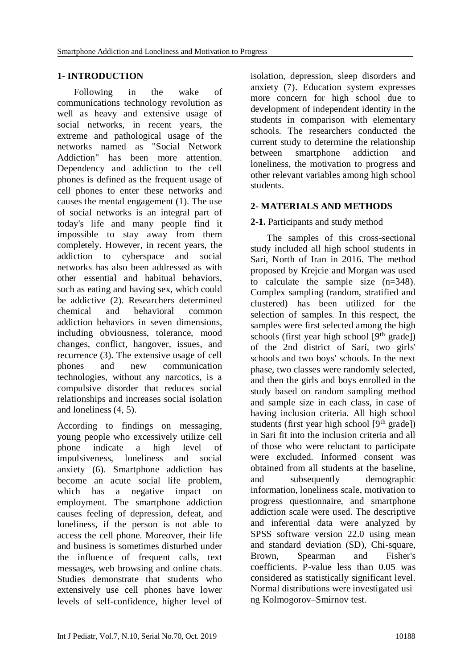#### **1- INTRODUCTION**

 Following in the wake of communications technology revolution as well as heavy and extensive usage of social networks, in recent years, the extreme and pathological usage of the networks named as "Social Network Addiction" has been more attention. Dependency and addiction to the cell phones is defined as the frequent usage of cell phones to enter these networks and causes the mental engagement (1). The use of social networks is an integral part of today's life and many people find it impossible to stay away from them completely. However, in recent years, the addiction to cyberspace and social networks has also been addressed as with other essential and habitual behaviors, such as eating and having sex, which could be addictive (2). Researchers determined chemical and behavioral common addiction behaviors in seven dimensions, including obviousness, tolerance, mood changes, conflict, hangover, issues, and recurrence (3). The extensive usage of cell phones and new communication technologies, without any narcotics, is a compulsive disorder that reduces social relationships and increases social isolation and loneliness (4, 5).

According to findings on messaging, young people who excessively utilize cell phone indicate a high level of impulsiveness, loneliness and social anxiety (6). Smartphone addiction has become an acute social life problem, which has a negative impact on employment. The smartphone addiction causes feeling of depression, defeat, and loneliness, if the person is not able to access the cell phone. Moreover, their life and business is sometimes disturbed under the influence of frequent calls, text messages, web browsing and online chats. Studies demonstrate that students who extensively use cell phones have lower levels of self-confidence, higher level of isolation, depression, sleep disorders and anxiety (7). Education system expresses more concern for high school due to development of independent identity in the students in comparison with elementary schools. The researchers conducted the current study to determine the relationship between smartphone addiction and loneliness, the motivation to progress and other relevant variables among high school students.

#### **2- MATERIALS AND METHODS**

#### **2-1.** Participants and study method

 The samples of this cross-sectional study included all high school students in Sari, North of Iran in 2016. The method proposed by Krejcie and Morgan was used to calculate the sample size (n=348). Complex sampling (random, stratified and clustered) has been utilized for the selection of samples. In this respect, the samples were first selected among the high schools (first year high school  $[9<sup>th</sup> grade]$ ) of the 2nd district of Sari, two girls' schools and two boys' schools. In the next phase, two classes were randomly selected, and then the girls and boys enrolled in the study based on random sampling method and sample size in each class, in case of having inclusion criteria. All high school students (first year high school  $[9<sup>th</sup> grade]$ ) in Sari fit into the inclusion criteria and all of those who were reluctant to participate were excluded. Informed consent was obtained from all students at the baseline, and subsequently demographic information, loneliness scale, motivation to progress questionnaire, and smartphone addiction scale were used. The descriptive and inferential data were analyzed by SPSS software version 22.0 using mean and standard deviation (SD), Chi-square, Brown, Spearman and Fisher's coefficients. P-value less than 0.05 was considered as statistically significant level. Normal distributions were investigated usi ng Kolmogorov–Smirnov test.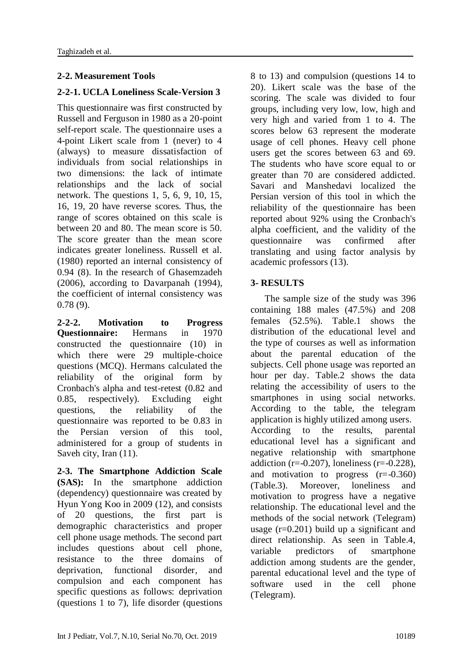# **2-2. Measurement Tools**

## **2-2-1. UCLA Loneliness Scale-Version 3**

This questionnaire was first constructed by Russell and Ferguson in 1980 as a 20-point self-report scale. The questionnaire uses a 4-point Likert scale from 1 (never) to 4 (always) to measure dissatisfaction of individuals from social relationships in two dimensions: the lack of intimate relationships and the lack of social network. The questions 1, 5, 6, 9, 10, 15, 16, 19, 20 have reverse scores. Thus, the range of scores obtained on this scale is between 20 and 80. The mean score is 50. The score greater than the mean score indicates greater loneliness. Russell et al. (1980) reported an internal consistency of 0.94 (8). In the research of Ghasemzadeh (2006), according to Davarpanah (1994), the coefficient of internal consistency was 0.78 (9).

**2-2-2. Motivation to Progress Questionnaire:** Hermans in 1970 constructed the questionnaire (10) in which there were 29 multiple-choice questions (MCQ). Hermans calculated the reliability of the original form by Cronbach's alpha and test-retest (0.82 and 0.85, respectively). Excluding eight questions, the reliability of the questionnaire was reported to be 0.83 in the Persian version of this tool, administered for a group of students in Saveh city, Iran (11).

**2-3. The Smartphone Addiction Scale (SAS):** In the smartphone addiction (dependency) questionnaire was created by Hyun Yong Koo in 2009 (12), and consists of 20 questions, the first part is demographic characteristics and proper cell phone usage methods. The second part includes questions about cell phone, resistance to the three domains of deprivation, functional disorder, and compulsion and each component has specific questions as follows: deprivation (questions 1 to 7), life disorder (questions 8 to 13) and compulsion (questions 14 to 20). Likert scale was the base of the scoring. The scale was divided to four groups, including very low, low, high and very high and varied from 1 to 4. The scores below 63 represent the moderate usage of cell phones. Heavy cell phone users get the scores between 63 and 69. The students who have score equal to or greater than 70 are considered addicted. Savari and Manshedavi localized the Persian version of this tool in which the reliability of the questionnaire has been reported about 92% using the Cronbach's alpha coefficient, and the validity of the questionnaire was confirmed after translating and using factor analysis by academic professors (13).

#### **3- RESULTS**

 The sample size of the study was 396 containing 188 males (47.5%) and 208 females (52.5%). Table.1 shows the distribution of the educational level and the type of courses as well as information about the parental education of the subjects. Cell phone usage was reported an hour per day. Table.2 shows the data relating the accessibility of users to the smartphones in using social networks. According to the table, the telegram application is highly utilized among users. According to the results, parental educational level has a significant and negative relationship with smartphone addiction ( $r=-0.207$ ), loneliness ( $r=-0.228$ ), and motivation to progress  $(r=0.360)$ (Table.3). Moreover, loneliness and motivation to progress have a negative relationship. The educational level and the methods of the social network (Telegram) usage  $(r=0.201)$  build up a significant and direct relationship. As seen in Table.4, variable predictors of smartphone addiction among students are the gender, parental educational level and the type of software used in the cell phone (Telegram).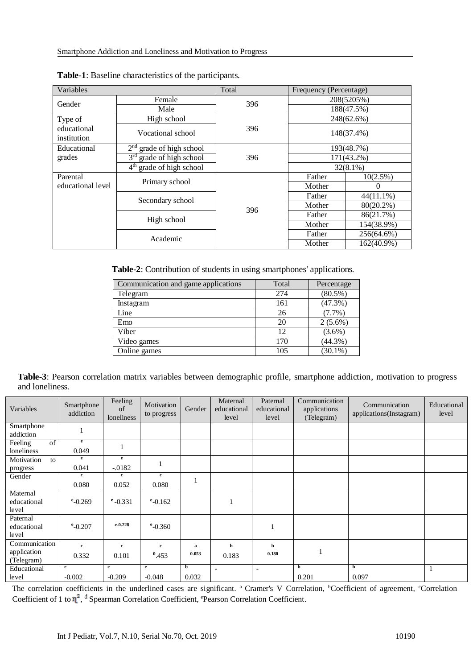| Variables                  |                            | Total | Frequency (Percentage)   |              |  |
|----------------------------|----------------------------|-------|--------------------------|--------------|--|
| Gender                     | Female                     | 396   | 208(5205%)               |              |  |
|                            | Male                       |       | 188(47.5%)               |              |  |
| Type of                    | High school                |       | 248(62.6%)<br>148(37.4%) |              |  |
| educational<br>institution | Vocational school          | 396   |                          |              |  |
| Educational                | $2nd$ grade of high school |       | 193(48.7%)               |              |  |
| grades                     | $3rd$ grade of high school | 396   | 171(43.2%)               |              |  |
|                            | $4th$ grade of high school |       |                          | $32(8.1\%)$  |  |
| Parental                   |                            |       | Father                   | 10(2.5%)     |  |
| educational level          | Primary school             |       | Mother                   | $\Omega$     |  |
|                            | Secondary school           |       | Father                   | $44(11.1\%)$ |  |
|                            |                            | 396   | Mother                   | 80(20.2%)    |  |
|                            | High school                |       | Father                   | 86(21.7%)    |  |
|                            |                            |       | Mother                   | 154(38.9%)   |  |
|                            | Academic                   |       | Father                   | 256(64.6%)   |  |
|                            |                            |       | Mother                   | 162(40.9%)   |  |

|  | Table-1: Baseline characteristics of the participants. |  |  |
|--|--------------------------------------------------------|--|--|
|--|--------------------------------------------------------|--|--|

**Table-2**: Contribution of students in using smartphones' applications.

| Communication and game applications | Total | Percentage |
|-------------------------------------|-------|------------|
| Telegram                            | 274   | $(80.5\%)$ |
| Instagram                           | 161   | (47.3%)    |
| Line                                | 26    | $(7.7\%)$  |
| Emo                                 | 20    | $2(5.6\%)$ |
| Viber                               | 12    | $(3.6\%)$  |
| Video games                         | 170   | $(44.3\%)$ |
| Online games                        | 105   | $(30.1\%)$ |

**Table-3**: Pearson correlation matrix variables between demographic profile, smartphone addiction, motivation to progress and loneliness.

| Variables                        | Smartphone<br>addiction | Feeling<br>of<br>loneliness | Motivation<br>to progress | Gender | Maternal<br>educational<br>level | Paternal<br>educational<br>level | Communication<br>applications<br>(Telegram) | Communication<br>applications(Instagram) | Educational<br>level |
|----------------------------------|-------------------------|-----------------------------|---------------------------|--------|----------------------------------|----------------------------------|---------------------------------------------|------------------------------------------|----------------------|
| Smartphone<br>addiction          | -1                      |                             |                           |        |                                  |                                  |                                             |                                          |                      |
| of<br>Feeling<br>loneliness      | e<br>0.049              |                             |                           |        |                                  |                                  |                                             |                                          |                      |
| Motivation<br>to<br>progress     | e<br>0.041              | e<br>$-0.0182$              |                           |        |                                  |                                  |                                             |                                          |                      |
| Gender                           | c<br>0.080              | c<br>0.052                  | $\mathbf c$<br>0.080      | 1      |                                  |                                  |                                             |                                          |                      |
| Maternal<br>educational<br>level | $^{\rm e}$ -0.269       | $^{\rm e}$ -0.331           | $^{\rm e}$ -0.162         |        |                                  |                                  |                                             |                                          |                      |
| Paternal<br>educational<br>level | $e$ -0.207              | $e-0.228$                   | $e$ -0.360                |        |                                  |                                  |                                             |                                          |                      |
| Communication                    | $\mathbf{c}$            | c                           | $\mathbf{c}$              | a      | b                                | b                                |                                             |                                          |                      |
| application<br>(Telegram)        | 0.332                   | 0.101                       | $^{0}.453$                | 0.053  | 0.183                            | 0.180                            |                                             |                                          |                      |
| Educational                      | e                       | e                           | $\mathbf{e}$              | b      |                                  | $\overline{\phantom{0}}$         | b                                           | b                                        |                      |
| level                            | $-0.002$                | $-0.209$                    | $-0.048$                  | 0.032  |                                  |                                  | 0.201                                       | 0.097                                    |                      |

The correlation coefficients in the underlined cases are significant. <sup>a</sup> Cramer's V Correlation, <sup>b</sup>Coefficient of agreement, <sup>c</sup>Correlation Coefficient of 1 to  $\eta^2$ , <sup>d</sup> Spearman Correlation Coefficient, <sup>e</sup>Pearson Correlation Coefficient.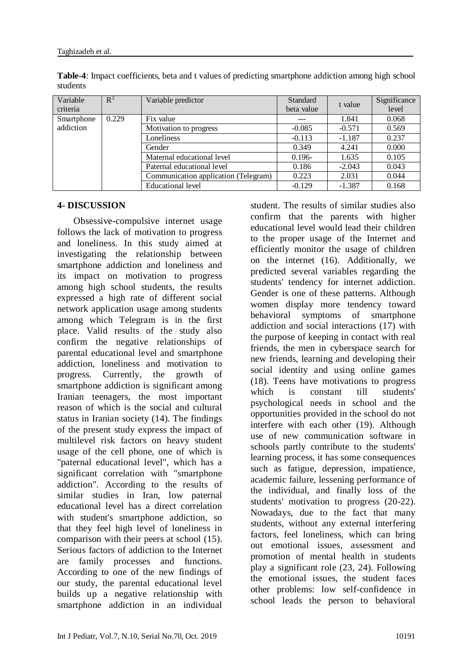| Variable   | $\mathbb{R}^2$ | Variable predictor                   | Standard<br>t value |          | Significance |
|------------|----------------|--------------------------------------|---------------------|----------|--------------|
| criteria   |                |                                      | beta value          |          | level        |
| Smartphone | 0.229          | Fix value                            | ---                 | 1.841    | 0.068        |
| addiction  |                | Motivation to progress               | $-0.085$            | $-0.571$ | 0.569        |
|            |                | Loneliness                           | $-0.113$            | $-1.187$ | 0.237        |
|            |                | Gender                               | 0.349               | 4.241    | 0.000        |
|            |                | Maternal educational level           | $0.196 -$           | 1.635    | 0.105        |
|            |                | Paternal educational level           | 0.186               | $-2.043$ | 0.043        |
|            |                | Communication application (Telegram) | 0.223               | 2.031    | 0.044        |
|            |                | Educational level                    | $-0.129$            | $-1.387$ | 0.168        |

**Table-4**: Impact coefficients, beta and t values of predicting smartphone addiction among high school students

#### **4- DISCUSSION**

 Obsessive-compulsive internet usage follows the lack of motivation to progress and loneliness. In this study aimed at investigating the relationship between smartphone addiction and loneliness and its impact on motivation to progress among high school students, the results expressed a high rate of different social network application usage among students among which Telegram is in the first place. Valid results of the study also confirm the negative relationships of parental educational level and smartphone addiction, loneliness and motivation to progress. Currently, the growth of smartphone addiction is significant among Iranian teenagers, the most important reason of which is the social and cultural status in Iranian society (14). The findings of the present study express the impact of multilevel risk factors on heavy student usage of the cell phone, one of which is "paternal educational level", which has a significant correlation with "smartphone addiction". According to the results of similar studies in Iran, low paternal educational level has a direct correlation with student's smartphone addiction, so that they feel high level of loneliness in comparison with their peers at school (15). Serious factors of addiction to the Internet are family processes and functions. According to one of the new findings of our study, the parental educational level builds up a negative relationship with smartphone addiction in an individual student. The results of similar studies also confirm that the parents with higher educational level would lead their children to the proper usage of the Internet and efficiently monitor the usage of children on the internet (16). Additionally, we predicted several variables regarding the students' tendency for internet addiction. Gender is one of these patterns. Although women display more tendency toward behavioral symptoms of smartphone addiction and social interactions (17) with the purpose of keeping in contact with real friends, the men in cyberspace search for new friends, learning and developing their social identity and using online games (18). Teens have motivations to progress which is constant till students' psychological needs in school and the opportunities provided in the school do not interfere with each other (19). Although use of new communication software in schools partly contribute to the students' learning process, it has some consequences such as fatigue, depression, impatience, academic failure, lessening performance of the individual, and finally loss of the students' motivation to progress (20-22). Nowadays, due to the fact that many students, without any external interfering factors, feel loneliness, which can bring out emotional issues, assessment and promotion of mental health in students play a significant role (23, 24). Following the emotional issues, the student faces other problems: low self-confidence in school leads the person to behavioral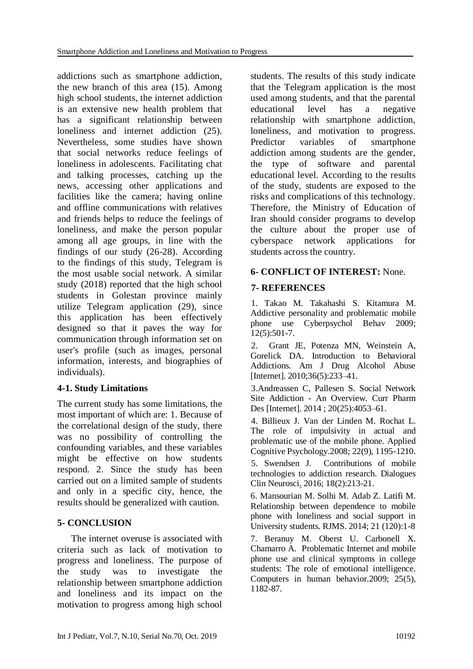addictions such as smartphone addiction, the new branch of this area (15). Among high school students, the internet addiction is an extensive new health problem that has a significant relationship between loneliness and internet addiction (25). Nevertheless, some studies have shown that social networks reduce feelings of loneliness in adolescents. Facilitating chat and talking processes, catching up the news, accessing other applications and facilities like the camera; having online and offline communications with relatives and friends helps to reduce the feelings of loneliness, and make the person popular among all age groups, in line with the findings of our study (26-28). According to the findings of this study, Telegram is the most usable social network. A similar study (2018) reported that the high school students in Golestan province mainly utilize Telegram application (29), since this application has been effectively designed so that it paves the way for communication through information set on user's profile (such as images, personal information, interests, and biographies of individuals).

## **4-1. Study Limitations**

The current study has some limitations, the most important of which are: 1. Because of the correlational design of the study, there was no possibility of controlling the confounding variables, and these variables might be effective on how students respond. 2. Since the study has been carried out on a limited sample of students and only in a specific city, hence, the results should be generalized with caution.

## **5- CONCLUSION**

 The internet overuse is associated with criteria such as lack of motivation to progress and loneliness. The purpose of the study was to investigate the relationship between smartphone addiction and loneliness and its impact on the motivation to progress among high school students. The results of this study indicate that the Telegram application is the most used among students, and that the parental educational level has a negative relationship with smartphone addiction, loneliness, and motivation to progress. Predictor variables of smartphone addiction among students are the gender, the type of software and parental educational level. According to the results of the study, students are exposed to the risks and complications of this technology. Therefore, the Ministry of Education of Iran should consider programs to develop the culture about the proper use of cyberspace network applications for students across the country.

## **6- CONFLICT OF INTEREST:** None.

#### **7- REFERENCES**

1. Takao M. Takahashi S. Kitamura M. Addictive personality and problematic mobile phone use Cyberpsychol Behav 2009; 12(5):501-7.

2. Grant JE, Potenza MN, Weinstein A, Gorelick DA. Introduction to Behavioral Addictions. Am J Drug Alcohol Abuse [Internet]. 2010;36(5):233–41.

3.Andreassen C, Pallesen S. Social Network Site Addiction - An Overview. Curr Pharm Des [Internet]. 2014 ; 20(25):4053–61.

4. Billieux J. Van der Linden M. Rochat L. The role of impulsivity in actual and problematic use of the mobile phone. Applied Cognitive Psychology.2008; 22(9), 1195-1210.

5. Swendsen J. Contributions of mobile technologies to addiction research. [Dialogues](https://www.ncbi.nlm.nih.gov/pubmed/?term=Contributions+of+mobile+technologies+to+addiction+research.+Dialogues+in+Clinical+Neuroscience)  [Clin Neurosci.](https://www.ncbi.nlm.nih.gov/pubmed/?term=Contributions+of+mobile+technologies+to+addiction+research.+Dialogues+in+Clinical+Neuroscience) 2016; 18(2):213-21.

6. Mansourian M. Solhi M. Adab Z. Latifi M. Relationship between dependence to mobile phone with loneliness and social support in University students. RJMS. 2014; 21 (120):1-8

7. Beranuy M. Oberst U. Carbonell X. Chamarro A. Problematic Internet and mobile phone use and clinical symptoms in college students: The role of emotional intelligence. Computers in human behavior.2009; 25(5), 1182-87.